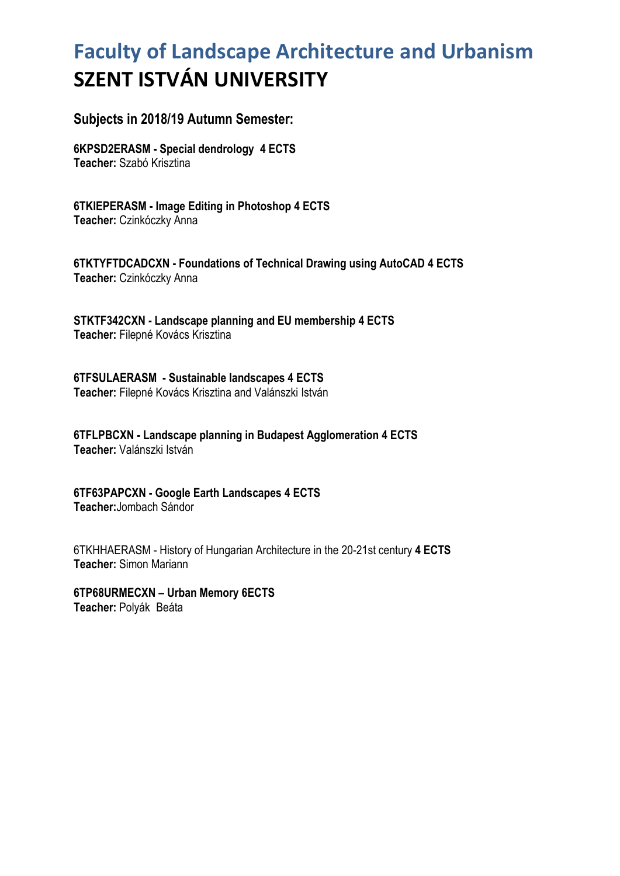## **Faculty of Landscape Architecture and Urbanism SZENT ISTVÁN UNIVERSITY**

## **Subjects in 2018/19 Autumn Semester:**

**6KPSD2ERASM - Special dendrology 4 ECTS Teacher:** Szabó Krisztina

**6TKIEPERASM - Image Editing in Photoshop 4 ECTS Teacher:** Czinkóczky Anna

**6TKTYFTDCADCXN - Foundations of Technical Drawing using AutoCAD 4 ECTS Teacher:** Czinkóczky Anna

**STKTF342CXN - Landscape planning and EU membership 4 ECTS Teacher:** Filepné Kovács Krisztina

**6TFSULAERASM - Sustainable landscapes 4 ECTS Teacher:** Filepné Kovács Krisztina and Valánszki István

**6TFLPBCXN - Landscape planning in Budapest Agglomeration 4 ECTS Teacher:** Valánszki István

**6TF63PAPCXN - Google Earth Landscapes 4 ECTS Teacher:**Jombach Sándor

6TKHHAERASM - History of Hungarian Architecture in the 20-21st century **4 ECTS Teacher:** Simon Mariann

**6TP68URMECXN – Urban Memory 6ECTS Teacher:** Polyák Beáta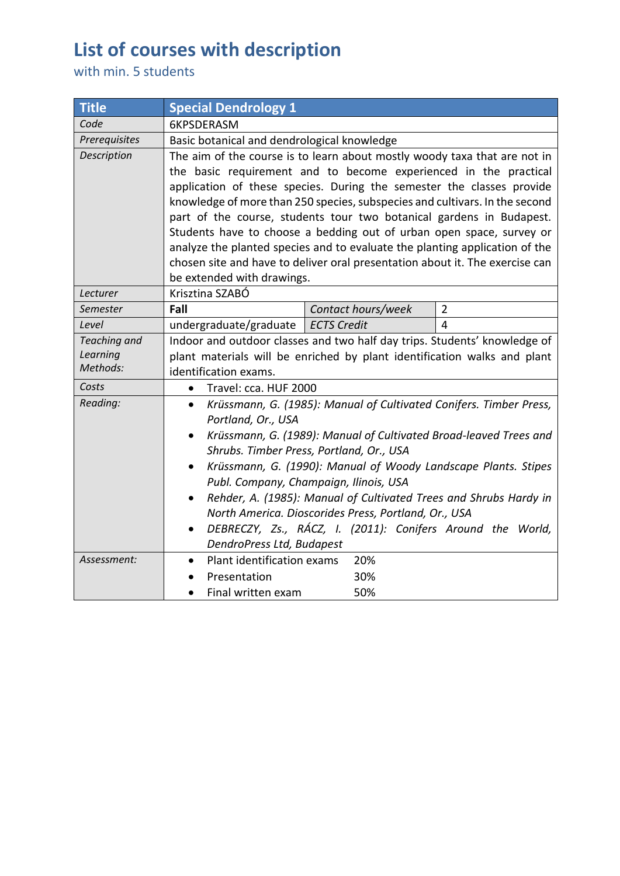## **List of courses with description**

with min. 5 students

| <b>Title</b>             | <b>Special Dendrology 1</b>                                                                                                                         |                                             |                     |  |
|--------------------------|-----------------------------------------------------------------------------------------------------------------------------------------------------|---------------------------------------------|---------------------|--|
| Code                     | 6KPSDERASM                                                                                                                                          |                                             |                     |  |
| Prerequisites            |                                                                                                                                                     | Basic botanical and dendrological knowledge |                     |  |
| Description              | The aim of the course is to learn about mostly woody taxa that are not in<br>the basic requirement and to become experienced in the practical       |                                             |                     |  |
|                          |                                                                                                                                                     |                                             |                     |  |
|                          | application of these species. During the semester the classes provide                                                                               |                                             |                     |  |
|                          | knowledge of more than 250 species, subspecies and cultivars. In the second                                                                         |                                             |                     |  |
|                          | part of the course, students tour two botanical gardens in Budapest.                                                                                |                                             |                     |  |
|                          | Students have to choose a bedding out of urban open space, survey or<br>analyze the planted species and to evaluate the planting application of the |                                             |                     |  |
|                          |                                                                                                                                                     |                                             |                     |  |
|                          | chosen site and have to deliver oral presentation about it. The exercise can                                                                        |                                             |                     |  |
|                          |                                                                                                                                                     | be extended with drawings.                  |                     |  |
| Lecturer<br>Semester     | Krisztina SZABÓ                                                                                                                                     |                                             |                     |  |
|                          | Fall                                                                                                                                                | Contact hours/week                          | $\overline{2}$<br>4 |  |
| Level                    | undergraduate/graduate<br><b>ECTS Credit</b>                                                                                                        |                                             |                     |  |
| Teaching and<br>Learning | Indoor and outdoor classes and two half day trips. Students' knowledge of                                                                           |                                             |                     |  |
| Methods:                 | plant materials will be enriched by plant identification walks and plant<br>identification exams.                                                   |                                             |                     |  |
| Costs                    | Travel: cca. HUF 2000<br>$\bullet$                                                                                                                  |                                             |                     |  |
| Reading:                 | Krüssmann, G. (1985): Manual of Cultivated Conifers. Timber Press,<br>$\bullet$                                                                     |                                             |                     |  |
|                          | Portland, Or., USA                                                                                                                                  |                                             |                     |  |
|                          | Krüssmann, G. (1989): Manual of Cultivated Broad-leaved Trees and<br>$\bullet$                                                                      |                                             |                     |  |
|                          | Shrubs. Timber Press, Portland, Or., USA                                                                                                            |                                             |                     |  |
|                          | Krüssmann, G. (1990): Manual of Woody Landscape Plants. Stipes                                                                                      |                                             |                     |  |
|                          | Publ. Company, Champaign, Ilinois, USA                                                                                                              |                                             |                     |  |
|                          | Rehder, A. (1985): Manual of Cultivated Trees and Shrubs Hardy in<br>$\bullet$                                                                      |                                             |                     |  |
|                          | North America. Dioscorides Press, Portland, Or., USA<br>DEBRECZY, Zs., RÁCZ, I. (2011): Conifers Around the World,                                  |                                             |                     |  |
|                          |                                                                                                                                                     |                                             |                     |  |
|                          | DendroPress Ltd, Budapest                                                                                                                           |                                             |                     |  |
| Assessment:              | Plant identification exams                                                                                                                          | 20%                                         |                     |  |
|                          | Presentation                                                                                                                                        | 30%                                         |                     |  |
|                          | Final written exam                                                                                                                                  | 50%                                         |                     |  |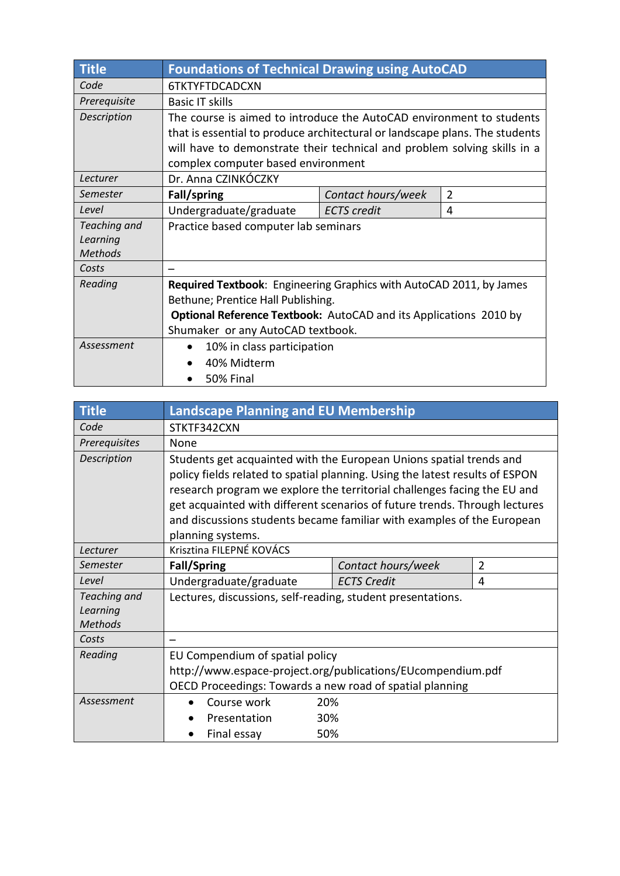| <b>Title</b>   | <b>Foundations of Technical Drawing using AutoCAD</b>                       |                    |                |  |
|----------------|-----------------------------------------------------------------------------|--------------------|----------------|--|
| Code           | 6TKTYFTDCADCXN                                                              |                    |                |  |
| Prerequisite   | <b>Basic IT skills</b>                                                      |                    |                |  |
| Description    | The course is aimed to introduce the AutoCAD environment to students        |                    |                |  |
|                | that is essential to produce architectural or landscape plans. The students |                    |                |  |
|                | will have to demonstrate their technical and problem solving skills in a    |                    |                |  |
|                | complex computer based environment                                          |                    |                |  |
| Lecturer       | Dr. Anna CZINKÓCZKY                                                         |                    |                |  |
| Semester       | Fall/spring                                                                 | Contact hours/week | $\overline{2}$ |  |
| Level          | Undergraduate/graduate                                                      | <b>ECTS</b> credit | 4              |  |
| Teaching and   | Practice based computer lab seminars                                        |                    |                |  |
| Learning       |                                                                             |                    |                |  |
| <b>Methods</b> |                                                                             |                    |                |  |
| Costs          |                                                                             |                    |                |  |
| Reading        | Required Textbook: Engineering Graphics with AutoCAD 2011, by James         |                    |                |  |
|                | Bethune; Prentice Hall Publishing.                                          |                    |                |  |
|                | <b>Optional Reference Textbook:</b> AutoCAD and its Applications 2010 by    |                    |                |  |
|                | Shumaker or any AutoCAD textbook.                                           |                    |                |  |
| Assessment     | 10% in class participation<br>$\bullet$                                     |                    |                |  |
|                | 40% Midterm                                                                 |                    |                |  |
|                | 50% Final                                                                   |                    |                |  |

| <b>Title</b>                               | <b>Landscape Planning and EU Membership</b>                                                                                                                                                                                                                                                                                                                                                                  |                    |                |
|--------------------------------------------|--------------------------------------------------------------------------------------------------------------------------------------------------------------------------------------------------------------------------------------------------------------------------------------------------------------------------------------------------------------------------------------------------------------|--------------------|----------------|
| Code                                       | STKTF342CXN                                                                                                                                                                                                                                                                                                                                                                                                  |                    |                |
| Prerequisites                              | None                                                                                                                                                                                                                                                                                                                                                                                                         |                    |                |
| Description                                | Students get acquainted with the European Unions spatial trends and<br>policy fields related to spatial planning. Using the latest results of ESPON<br>research program we explore the territorial challenges facing the EU and<br>get acquainted with different scenarios of future trends. Through lectures<br>and discussions students became familiar with examples of the European<br>planning systems. |                    |                |
| Lecturer                                   | Krisztina FILEPNÉ KOVÁCS                                                                                                                                                                                                                                                                                                                                                                                     |                    |                |
| Semester                                   | <b>Fall/Spring</b>                                                                                                                                                                                                                                                                                                                                                                                           | Contact hours/week | $\overline{2}$ |
| Level                                      | Undergraduate/graduate                                                                                                                                                                                                                                                                                                                                                                                       | <b>ECTS Credit</b> | 4              |
| Teaching and<br>Learning<br><b>Methods</b> | Lectures, discussions, self-reading, student presentations.                                                                                                                                                                                                                                                                                                                                                  |                    |                |
| Costs                                      |                                                                                                                                                                                                                                                                                                                                                                                                              |                    |                |
| Reading                                    | EU Compendium of spatial policy<br>http://www.espace-project.org/publications/EUcompendium.pdf<br>OECD Proceedings: Towards a new road of spatial planning                                                                                                                                                                                                                                                   |                    |                |
| Assessment                                 | Course work                                                                                                                                                                                                                                                                                                                                                                                                  | 20%                |                |
|                                            | Presentation                                                                                                                                                                                                                                                                                                                                                                                                 | 30%                |                |
|                                            | Final essay                                                                                                                                                                                                                                                                                                                                                                                                  | 50%                |                |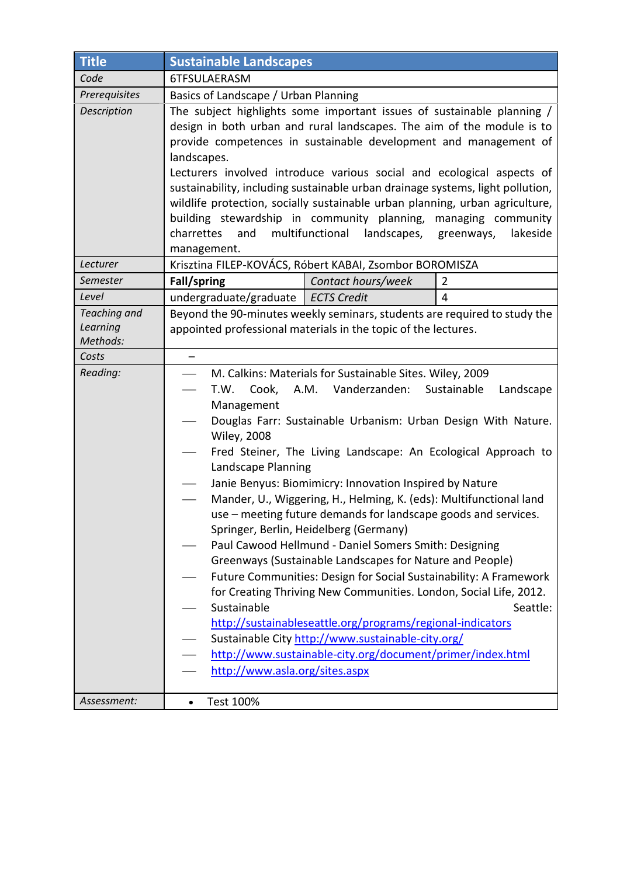| Title                                | <b>Sustainable Landscapes</b>                                                                                                                                                                                                                                                                                                                                                                                                                                                                                                                                                                                                                                                                                                                                                                                                                                                                                                                                                                                                                                                                           |                    |                |
|--------------------------------------|---------------------------------------------------------------------------------------------------------------------------------------------------------------------------------------------------------------------------------------------------------------------------------------------------------------------------------------------------------------------------------------------------------------------------------------------------------------------------------------------------------------------------------------------------------------------------------------------------------------------------------------------------------------------------------------------------------------------------------------------------------------------------------------------------------------------------------------------------------------------------------------------------------------------------------------------------------------------------------------------------------------------------------------------------------------------------------------------------------|--------------------|----------------|
| Code                                 | 6TFSULAERASM                                                                                                                                                                                                                                                                                                                                                                                                                                                                                                                                                                                                                                                                                                                                                                                                                                                                                                                                                                                                                                                                                            |                    |                |
| Prerequisites                        | Basics of Landscape / Urban Planning                                                                                                                                                                                                                                                                                                                                                                                                                                                                                                                                                                                                                                                                                                                                                                                                                                                                                                                                                                                                                                                                    |                    |                |
| Description                          | The subject highlights some important issues of sustainable planning /<br>design in both urban and rural landscapes. The aim of the module is to<br>provide competences in sustainable development and management of<br>landscapes.<br>Lecturers involved introduce various social and ecological aspects of<br>sustainability, including sustainable urban drainage systems, light pollution,<br>wildlife protection, socially sustainable urban planning, urban agriculture,<br>building stewardship in community planning, managing community<br>multifunctional<br>charrettes<br>and<br>landscapes,<br>lakeside<br>greenways,<br>management.                                                                                                                                                                                                                                                                                                                                                                                                                                                        |                    |                |
| Lecturer                             | Krisztina FILEP-KOVÁCS, Róbert KABAI, Zsombor BOROMISZA                                                                                                                                                                                                                                                                                                                                                                                                                                                                                                                                                                                                                                                                                                                                                                                                                                                                                                                                                                                                                                                 |                    |                |
| Semester                             | Fall/spring                                                                                                                                                                                                                                                                                                                                                                                                                                                                                                                                                                                                                                                                                                                                                                                                                                                                                                                                                                                                                                                                                             | Contact hours/week | 2              |
| Level                                | undergraduate/graduate   ECTS Credit                                                                                                                                                                                                                                                                                                                                                                                                                                                                                                                                                                                                                                                                                                                                                                                                                                                                                                                                                                                                                                                                    |                    | $\overline{4}$ |
| Teaching and<br>Learning<br>Methods: | Beyond the 90-minutes weekly seminars, students are required to study the<br>appointed professional materials in the topic of the lectures.                                                                                                                                                                                                                                                                                                                                                                                                                                                                                                                                                                                                                                                                                                                                                                                                                                                                                                                                                             |                    |                |
| Costs                                | $\qquad \qquad -$                                                                                                                                                                                                                                                                                                                                                                                                                                                                                                                                                                                                                                                                                                                                                                                                                                                                                                                                                                                                                                                                                       |                    |                |
| Reading:                             | M. Calkins: Materials for Sustainable Sites. Wiley, 2009<br>A.M.<br>Vanderzanden:<br>Sustainable<br>T.W.<br>Cook,<br>Landscape<br>$\qquad \qquad$<br>Management<br>Douglas Farr: Sustainable Urbanism: Urban Design With Nature.<br><b>Wiley, 2008</b><br>Fred Steiner, The Living Landscape: An Ecological Approach to<br>Landscape Planning<br>Janie Benyus: Biomimicry: Innovation Inspired by Nature<br>Mander, U., Wiggering, H., Helming, K. (eds): Multifunctional land<br>use – meeting future demands for landscape goods and services.<br>Springer, Berlin, Heidelberg (Germany)<br>Paul Cawood Hellmund - Daniel Somers Smith: Designing<br>Greenways (Sustainable Landscapes for Nature and People)<br>Future Communities: Design for Social Sustainability: A Framework<br>for Creating Thriving New Communities. London, Social Life, 2012.<br>Sustainable<br>Seattle:<br>http://sustainableseattle.org/programs/regional-indicators<br>Sustainable City http://www.sustainable-city.org/<br>http://www.sustainable-city.org/document/primer/index.html<br>http://www.asla.org/sites.aspx |                    |                |
| Assessment:                          | Test 100%<br>$\bullet$                                                                                                                                                                                                                                                                                                                                                                                                                                                                                                                                                                                                                                                                                                                                                                                                                                                                                                                                                                                                                                                                                  |                    |                |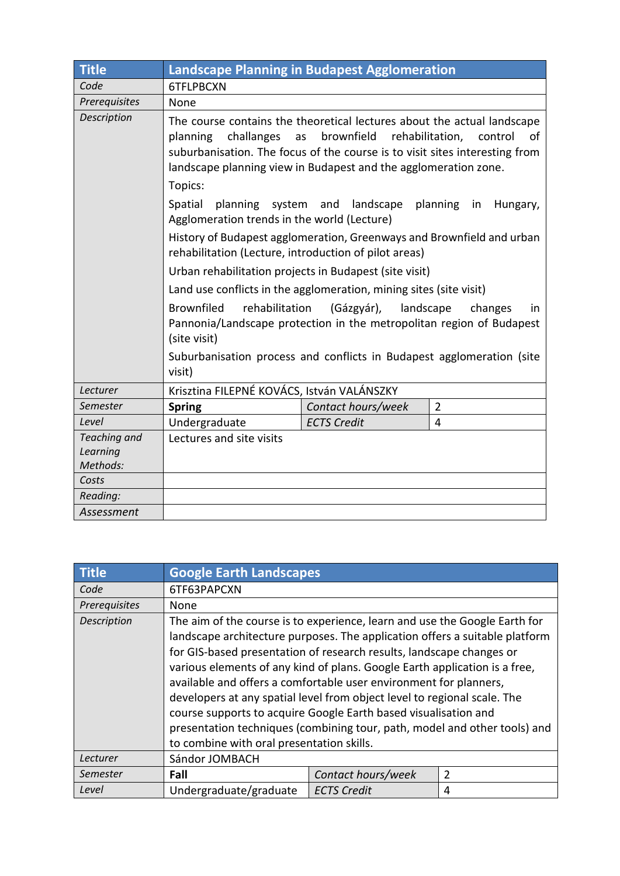| <b>Title</b>                         | <b>Landscape Planning in Budapest Agglomeration</b>                                                                                                                                                                                                                                                                                                                                                                                                                                                                                                                            |                    |                |
|--------------------------------------|--------------------------------------------------------------------------------------------------------------------------------------------------------------------------------------------------------------------------------------------------------------------------------------------------------------------------------------------------------------------------------------------------------------------------------------------------------------------------------------------------------------------------------------------------------------------------------|--------------------|----------------|
| Code                                 | 6TFLPBCXN                                                                                                                                                                                                                                                                                                                                                                                                                                                                                                                                                                      |                    |                |
| Prerequisites                        | <b>None</b>                                                                                                                                                                                                                                                                                                                                                                                                                                                                                                                                                                    |                    |                |
| Description                          | The course contains the theoretical lectures about the actual landscape<br>brownfield<br>challanges<br>rehabilitation,<br>planning<br>as<br>control<br>of<br>suburbanisation. The focus of the course is to visit sites interesting from<br>landscape planning view in Budapest and the agglomeration zone.<br>Topics:<br>planning system and landscape<br>Spatial<br>planning in<br>Hungary,<br>Agglomeration trends in the world (Lecture)<br>History of Budapest agglomeration, Greenways and Brownfield and urban<br>rehabilitation (Lecture, introduction of pilot areas) |                    |                |
|                                      |                                                                                                                                                                                                                                                                                                                                                                                                                                                                                                                                                                                |                    |                |
|                                      | Urban rehabilitation projects in Budapest (site visit)<br>Land use conflicts in the agglomeration, mining sites (site visit)                                                                                                                                                                                                                                                                                                                                                                                                                                                   |                    |                |
|                                      | <b>Brownfiled</b><br>rehabilitation<br>landscape<br>(Gázgyár),<br>changes<br>in<br>Pannonia/Landscape protection in the metropolitan region of Budapest<br>(site visit)<br>Suburbanisation process and conflicts in Budapest agglomeration (site<br>visit)                                                                                                                                                                                                                                                                                                                     |                    |                |
| Lecturer                             | Krisztina FILEPNÉ KOVÁCS, István VALÁNSZKY                                                                                                                                                                                                                                                                                                                                                                                                                                                                                                                                     |                    |                |
| Semester                             | <b>Spring</b>                                                                                                                                                                                                                                                                                                                                                                                                                                                                                                                                                                  | Contact hours/week | $\overline{2}$ |
| Level                                | Undergraduate                                                                                                                                                                                                                                                                                                                                                                                                                                                                                                                                                                  | <b>ECTS Credit</b> | $\overline{4}$ |
| Teaching and<br>Learning<br>Methods: | Lectures and site visits                                                                                                                                                                                                                                                                                                                                                                                                                                                                                                                                                       |                    |                |
| Costs<br>Reading:                    |                                                                                                                                                                                                                                                                                                                                                                                                                                                                                                                                                                                |                    |                |
| Assessment                           |                                                                                                                                                                                                                                                                                                                                                                                                                                                                                                                                                                                |                    |                |

| <b>Title</b>         | <b>Google Earth Landscapes</b>                                                                                                                                                                                                                                                                                                                                                                                                                                                                                                                                                                                   |                    |   |
|----------------------|------------------------------------------------------------------------------------------------------------------------------------------------------------------------------------------------------------------------------------------------------------------------------------------------------------------------------------------------------------------------------------------------------------------------------------------------------------------------------------------------------------------------------------------------------------------------------------------------------------------|--------------------|---|
| Code                 | 6TF63PAPCXN                                                                                                                                                                                                                                                                                                                                                                                                                                                                                                                                                                                                      |                    |   |
| <b>Prerequisites</b> | None                                                                                                                                                                                                                                                                                                                                                                                                                                                                                                                                                                                                             |                    |   |
| Description          | The aim of the course is to experience, learn and use the Google Earth for<br>landscape architecture purposes. The application offers a suitable platform<br>for GIS-based presentation of research results, landscape changes or<br>various elements of any kind of plans. Google Earth application is a free,<br>available and offers a comfortable user environment for planners,<br>developers at any spatial level from object level to regional scale. The<br>course supports to acquire Google Earth based visualisation and<br>presentation techniques (combining tour, path, model and other tools) and |                    |   |
| Lecturer             | to combine with oral presentation skills.<br>Sándor JOMBACH                                                                                                                                                                                                                                                                                                                                                                                                                                                                                                                                                      |                    |   |
| Semester             | Fall                                                                                                                                                                                                                                                                                                                                                                                                                                                                                                                                                                                                             | Contact hours/week | 2 |
| Level                | Undergraduate/graduate                                                                                                                                                                                                                                                                                                                                                                                                                                                                                                                                                                                           | <b>ECTS Credit</b> | 4 |